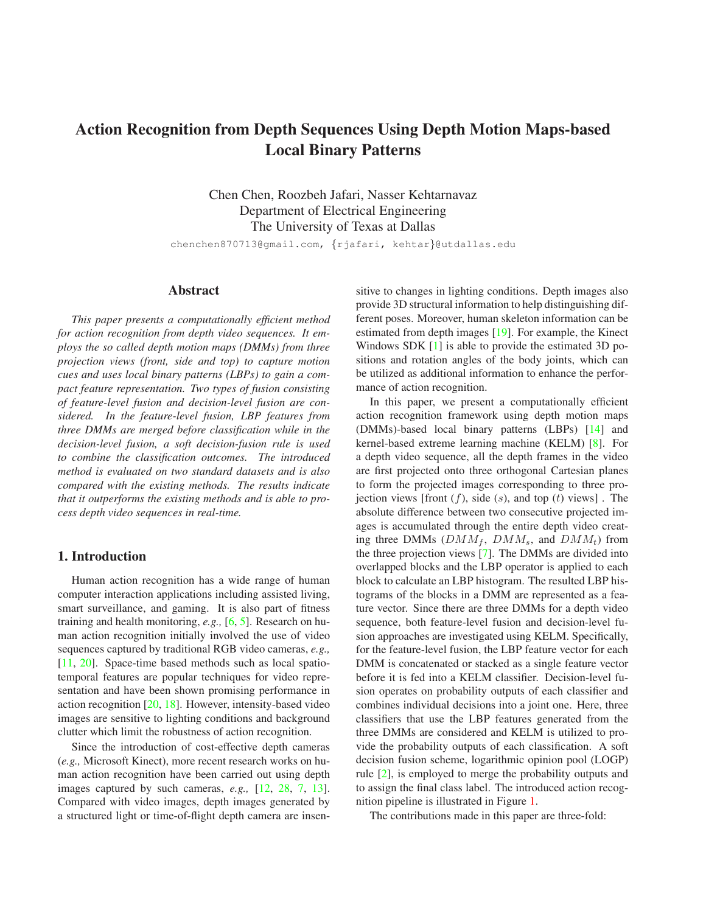# <span id="page-0-0"></span>**Action Recognition from Depth Sequences Using Depth Motion Maps-based Local Binary Patterns**

Chen Chen, Roozbeh Jafari, Nasser Kehtarnavaz Department of Electrical Engineering The University of Texas at Dallas

chenchen870713@gmail.com, {rjafari, kehtar}@utdallas.edu

## **Abstract**

*This paper presents a computationally efficient method for action recognition from depth video sequences. It employs the so called depth motion maps (DMMs) from three projection views (front, side and top) to capture motion cues and uses local binary patterns (LBPs) to gain a compact feature representation. Two types of fusion consisting of feature-level fusion and decision-level fusion are considered. In the feature-level fusion, LBP features from three DMMs are merged before classification while in the decision-level fusion, a soft decision-fusion rule is used to combine the classification outcomes. The introduced method is evaluated on two standard datasets and is also compared with the existing methods. The results indicate that it outperforms the existing methods and is able to process depth video sequences in real-time.*

## **1. Introduction**

Human action recognition has a wide range of human computer interaction applications including assisted living, smart surveillance, and gaming. It is also part of fitness training and health monitoring, *e.g.,* [\[6,](#page-7-0) [5\]](#page-7-1). Research on human action recognition initially involved the use of video sequences captured by traditional RGB video cameras, *e.g.,* [\[11,](#page-7-2) [20\]](#page-7-3). Space-time based methods such as local spatiotemporal features are popular techniques for video representation and have been shown promising performance in action recognition [\[20,](#page-7-3) [18\]](#page-7-4). However, intensity-based video images are sensitive to lighting conditions and background clutter which limit the robustness of action recognition.

Since the introduction of cost-effective depth cameras (*e.g.,* Microsoft Kinect), more recent research works on human action recognition have been carried out using depth images captured by such cameras, *e.g.,* [\[12,](#page-7-5) [28,](#page-7-6) [7,](#page-7-7) [13\]](#page-7-8). Compared with video images, depth images generated by a structured light or time-of-flight depth camera are insensitive to changes in lighting conditions. Depth images also provide 3D structural information to help distinguishing different poses. Moreover, human skeleton information can be estimated from depth images [\[19\]](#page-7-9). For example, the Kinect Windows SDK [\[1\]](#page-7-10) is able to provide the estimated 3D positions and rotation angles of the body joints, which can be utilized as additional information to enhance the performance of action recognition.

In this paper, we present a computationally efficient action recognition framework using depth motion maps (DMMs)-based local binary patterns (LBPs) [\[14\]](#page-7-11) and kernel-based extreme learning machine (KELM) [\[8\]](#page-7-12). For a depth video sequence, all the depth frames in the video are first projected onto three orthogonal Cartesian planes to form the projected images corresponding to three projection views [front  $(f)$ , side  $(s)$ , and top  $(t)$  views]. The absolute difference between two consecutive projected images is accumulated through the entire depth video creating three DMMs  $(DMM_f, DMM_s,$  and  $DMM_t$ ) from the three projection views [\[7\]](#page-7-7). The DMMs are divided into overlapped blocks and the LBP operator is applied to each block to calculate an LBP histogram. The resulted LBP histograms of the blocks in a DMM are represented as a feature vector. Since there are three DMMs for a depth video sequence, both feature-level fusion and decision-level fusion approaches are investigated using KELM. Specifically, for the feature-level fusion, the LBP feature vector for each DMM is concatenated or stacked as a single feature vector before it is fed into a KELM classifier. Decision-level fusion operates on probability outputs of each classifier and combines individual decisions into a joint one. Here, three classifiers that use the LBP features generated from the three DMMs are considered and KELM is utilized to provide the probability outputs of each classification. A soft decision fusion scheme, logarithmic opinion pool (LOGP) rule [\[2\]](#page-7-13), is employed to merge the probability outputs and to assign the final class label. The introduced action recognition pipeline is illustrated in Figure [1.](#page-1-0)

The contributions made in this paper are three-fold: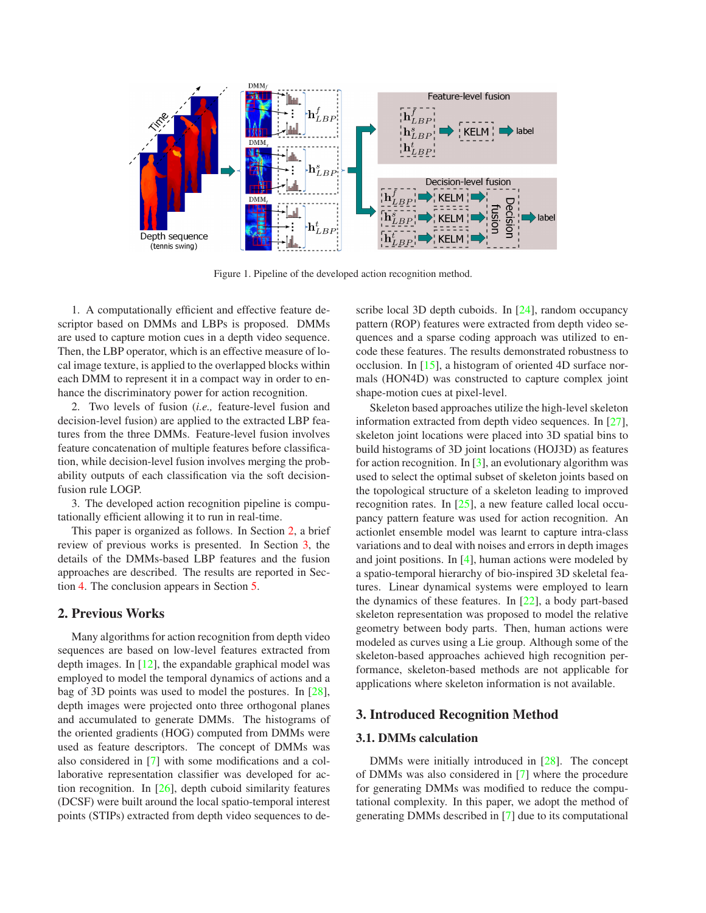<span id="page-1-3"></span>

<span id="page-1-0"></span>Figure 1. Pipeline of the developed action recognition method.

1. A computationally efficient and effective feature descriptor based on DMMs and LBPs is proposed. DMMs are used to capture motion cues in a depth video sequence. Then, the LBP operator, which is an effective measure of local image texture, is applied to the overlapped blocks within each DMM to represent it in a compact way in order to enhance the discriminatory power for action recognition.

2. Two levels of fusion (*i.e.,* feature-level fusion and decision-level fusion) are applied to the extracted LBP features from the three DMMs. Feature-level fusion involves feature concatenation of multiple features before classification, while decision-level fusion involves merging the probability outputs of each classification via the soft decisionfusion rule LOGP.

3. The developed action recognition pipeline is computationally efficient allowing it to run in real-time.

This paper is organized as follows. In Section [2,](#page-1-1) a brief review of previous works is presented. In Section [3,](#page-1-2) the details of the DMMs-based LBP features and the fusion approaches are described. The results are reported in Section [4.](#page-3-0) The conclusion appears in Section [5.](#page-6-0)

## <span id="page-1-1"></span>**2. Previous Works**

Many algorithms for action recognition from depth video sequences are based on low-level features extracted from depth images. In [\[12\]](#page-7-5), the expandable graphical model was employed to model the temporal dynamics of actions and a bag of 3D points was used to model the postures. In [\[28\]](#page-7-6), depth images were projected onto three orthogonal planes and accumulated to generate DMMs. The histograms of the oriented gradients (HOG) computed from DMMs were used as feature descriptors. The concept of DMMs was also considered in [\[7\]](#page-7-7) with some modifications and a collaborative representation classifier was developed for action recognition. In [\[26\]](#page-7-14), depth cuboid similarity features (DCSF) were built around the local spatio-temporal interest points (STIPs) extracted from depth video sequences to describe local 3D depth cuboids. In [\[24\]](#page-7-15), random occupancy pattern (ROP) features were extracted from depth video sequences and a sparse coding approach was utilized to encode these features. The results demonstrated robustness to occlusion. In [\[15\]](#page-7-16), a histogram of oriented 4D surface normals (HON4D) was constructed to capture complex joint shape-motion cues at pixel-level.

Skeleton based approaches utilize the high-level skeleton information extracted from depth video sequences. In [\[27\]](#page-7-17), skeleton joint locations were placed into 3D spatial bins to build histograms of 3D joint locations (HOJ3D) as features for action recognition. In  $[3]$ , an evolutionary algorithm was used to select the optimal subset of skeleton joints based on the topological structure of a skeleton leading to improved recognition rates. In [\[25\]](#page-7-19), a new feature called local occupancy pattern feature was used for action recognition. An actionlet ensemble model was learnt to capture intra-class variations and to deal with noises and errors in depth images and joint positions. In [\[4\]](#page-7-20), human actions were modeled by a spatio-temporal hierarchy of bio-inspired 3D skeletal features. Linear dynamical systems were employed to learn the dynamics of these features. In [\[22\]](#page-7-21), a body part-based skeleton representation was proposed to model the relative geometry between body parts. Then, human actions were modeled as curves using a Lie group. Although some of the skeleton-based approaches achieved high recognition performance, skeleton-based methods are not applicable for applications where skeleton information is not available.

## <span id="page-1-2"></span>**3. Introduced Recognition Method**

#### **3.1. DMMs calculation**

DMMs were initially introduced in [\[28\]](#page-7-6). The concept of DMMs was also considered in [\[7\]](#page-7-7) where the procedure for generating DMMs was modified to reduce the computational complexity. In this paper, we adopt the method of generating DMMs described in [\[7\]](#page-7-7) due to its computational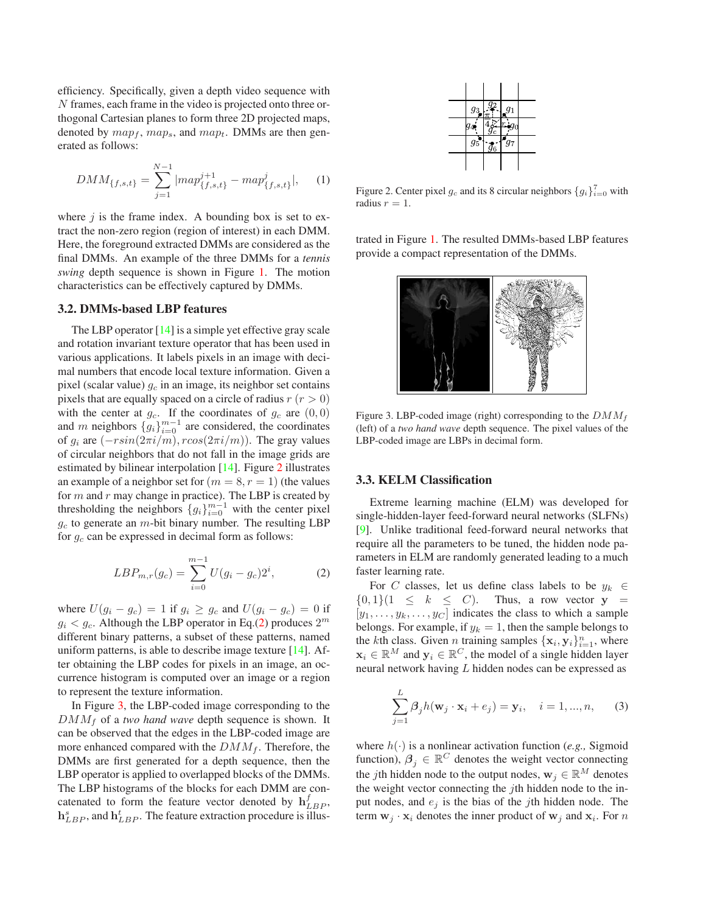<span id="page-2-4"></span>efficiency. Specifically, given a depth video sequence with N frames, each frame in the video is projected onto three orthogonal Cartesian planes to form three 2D projected maps, denoted by  $map_f$ ,  $map_s$ , and  $map_t$ . DMMs are then generated as follows:

$$
DMM_{\{f,s,t\}} = \sum_{j=1}^{N-1} |map_{\{f,s,t\}}^{j+1} - map_{\{f,s,t\}}^j|, \quad (1)
$$

where  $j$  is the frame index. A bounding box is set to extract the non-zero region (region of interest) in each DMM. Here, the foreground extracted DMMs are considered as the final DMMs. An example of the three DMMs for a *tennis swing* depth sequence is shown in Figure [1.](#page-1-0) The motion characteristics can be effectively captured by DMMs.

#### **3.2. DMMs-based LBP features**

The LBP operator [\[14\]](#page-7-11) is a simple yet effective gray scale and rotation invariant texture operator that has been used in various applications. It labels pixels in an image with decimal numbers that encode local texture information. Given a pixel (scalar value)  $g_c$  in an image, its neighbor set contains pixels that are equally spaced on a circle of radius  $r (r > 0)$ with the center at  $g_c$ . If the coordinates of  $g_c$  are  $(0, 0)$ and m neighbors  $\{g_i\}_{i=0}^{m-1}$  are considered, the coordinates of  $g_i$  are  $(-r\sin(2\pi i/m), r\cos(2\pi i/m))$ . The gray values of circular neighbors that do not fall in the image grids are estimated by bilinear interpolation [\[14\]](#page-7-11). Figure [2](#page-2-0) illustrates an example of a neighbor set for  $(m = 8, r = 1)$  (the values for  $m$  and  $r$  may change in practice). The LBP is created by thresholding the neighbors  ${g_i}_{i=0}^{m-1}$  with the center pixel  $g_c$  to generate an  $m$ -bit binary number. The resulting LBP for  $g_c$  can be expressed in decimal form as follows:

<span id="page-2-1"></span>
$$
LBP_{m,r}(g_c) = \sum_{i=0}^{m-1} U(g_i - g_c)2^i,
$$
 (2)

where  $U(g_i - g_c) = 1$  if  $g_i \ge g_c$  and  $U(g_i - g_c) = 0$  if  $g_i < g_c$ . Although the LBP operator in Eq.[\(2\)](#page-2-1) produces  $2^m$ different binary patterns, a subset of these patterns, named uniform patterns, is able to describe image texture [\[14\]](#page-7-11). After obtaining the LBP codes for pixels in an image, an occurrence histogram is computed over an image or a region to represent the texture information.

In Figure [3,](#page-2-2) the LBP-coded image corresponding to the  $DMM_f$  of a *two hand wave* depth sequence is shown. It can be observed that the edges in the LBP-coded image are more enhanced compared with the  $DMM_f$ . Therefore, the DMMs are first generated for a depth sequence, then the LBP operator is applied to overlapped blocks of the DMMs. The LBP histograms of the blocks for each DMM are concatenated to form the feature vector denoted by  $h_{LBP}^f$ ,  $h_{LBP}^s$ , and  $h_{LBP}^t$ . The feature extraction procedure is illus-



<span id="page-2-0"></span>Figure 2. Center pixel  $g_c$  and its 8 circular neighbors  ${g_i}_{i=0}^7$  with radius  $r = 1$ .

trated in Figure [1.](#page-1-0) The resulted DMMs-based LBP features provide a compact representation of the DMMs.



<span id="page-2-2"></span>Figure 3. LBP-coded image (right) corresponding to the  $DMM_f$ (left) of a *two hand wave* depth sequence. The pixel values of the LBP-coded image are LBPs in decimal form.

## **3.3. KELM Classification**

Extreme learning machine (ELM) was developed for single-hidden-layer feed-forward neural networks (SLFNs) [\[9\]](#page-7-22). Unlike traditional feed-forward neural networks that require all the parameters to be tuned, the hidden node parameters in ELM are randomly generated leading to a much faster learning rate.

For C classes, let us define class labels to be  $y_k \in$  ${0, 1}$  $\{1 \leq k \leq C\}$ . Thus, a row vector  $y =$  $[y_1, \ldots, y_k, \ldots, y_C]$  indicates the class to which a sample belongs. For example, if  $y_k = 1$ , then the sample belongs to the kth class. Given *n* training samples  $\{x_i, y_i\}_{i=1}^n$ , where  $x_i \in \mathbb{R}^M$  and  $y_i \in \mathbb{R}^C$ , the model of a single hidden layer neural network having L hidden nodes can be expressed as

<span id="page-2-3"></span>
$$
\sum_{j=1}^{L} \beta_j h(\mathbf{w}_j \cdot \mathbf{x}_i + e_j) = \mathbf{y}_i, \quad i = 1, ..., n,
$$
 (3)

where  $h(\cdot)$  is a nonlinear activation function (*e.g.*, Sigmoid function),  $\beta_j \in \mathbb{R}^C$  denotes the weight vector connecting the jth hidden node to the output nodes,  $\mathbf{w}_i \in \mathbb{R}^M$  denotes the weight vector connecting the  $j$ th hidden node to the input nodes, and  $e_i$  is the bias of the jth hidden node. The term  $\mathbf{w}_j \cdot \mathbf{x}_i$  denotes the inner product of  $\mathbf{w}_j$  and  $\mathbf{x}_i$ . For n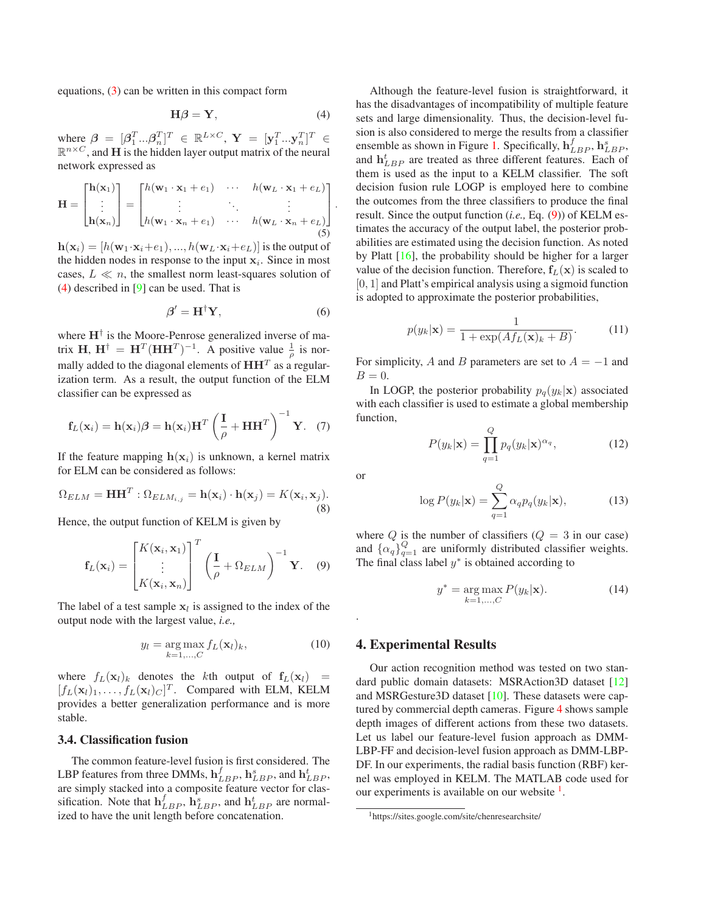<span id="page-3-4"></span>equations, [\(3\)](#page-2-3) can be written in this compact form

<span id="page-3-1"></span>
$$
\mathbf{H}\boldsymbol{\beta} = \mathbf{Y},\tag{4}
$$

where  $\boldsymbol{\beta} \ = \ [\boldsymbol{\beta}_1^T...\boldsymbol{\beta}_n^T]^T \ \in \ \mathbb{R}^{L \times C}, \ \mathbf{Y} \ = \ [\mathbf{y}_1^T...\mathbf{y}_n^T]^T \ \in$  $\mathbb{R}^{n \times C}$ , and H is the hidden layer output matrix of the neural network expressed as

$$
\mathbf{H} = \begin{bmatrix} \mathbf{h}(\mathbf{x}_1) \\ \vdots \\ \mathbf{h}(\mathbf{x}_n) \end{bmatrix} = \begin{bmatrix} h(\mathbf{w}_1 \cdot \mathbf{x}_1 + e_1) & \cdots & h(\mathbf{w}_L \cdot \mathbf{x}_1 + e_L) \\ \vdots & \ddots & \vdots \\ h(\mathbf{w}_1 \cdot \mathbf{x}_n + e_1) & \cdots & h(\mathbf{w}_L \cdot \mathbf{x}_n + e_L) \end{bmatrix}.
$$
 (5)

 $h(\mathbf{x}_i) = [h(\mathbf{w}_1 \cdot \mathbf{x}_i + e_1), ..., h(\mathbf{w}_L \cdot \mathbf{x}_i + e_L)]$  is the output of the hidden nodes in response to the input  $x_i$ . Since in most cases,  $L \ll n$ , the smallest norm least-squares solution of [\(4\)](#page-3-1) described in [\[9\]](#page-7-22) can be used. That is

$$
\beta' = \mathbf{H}^\dagger \mathbf{Y},\tag{6}
$$

where  $H^{\dagger}$  is the Moore-Penrose generalized inverse of matrix H,  $H^{\dagger} = H^{T}(HH^{T})^{-1}$ . A positive value  $\frac{1}{\rho}$  is normally added to the diagonal elements of  $\mathbf{H}\mathbf{H}^T$  as a regularization term. As a result, the output function of the ELM classifier can be expressed as

$$
\mathbf{f}_L(\mathbf{x}_i) = \mathbf{h}(\mathbf{x}_i)\boldsymbol{\beta} = \mathbf{h}(\mathbf{x}_i)\mathbf{H}^T \left(\frac{\mathbf{I}}{\rho} + \mathbf{H}\mathbf{H}^T\right)^{-1} \mathbf{Y}.
$$
 (7)

If the feature mapping  $h(\mathbf{x}_i)$  is unknown, a kernel matrix for ELM can be considered as follows:

$$
\Omega_{ELM} = \mathbf{H}\mathbf{H}^T : \Omega_{ELM_{i,j}} = \mathbf{h}(\mathbf{x}_i) \cdot \mathbf{h}(\mathbf{x}_j) = K(\mathbf{x}_i, \mathbf{x}_j).
$$
\n(8)

Hence, the output function of KELM is given by

<span id="page-3-2"></span>
$$
\mathbf{f}_L(\mathbf{x}_i) = \begin{bmatrix} K(\mathbf{x}_i, \mathbf{x}_1) \\ \vdots \\ K(\mathbf{x}_i, \mathbf{x}_n) \end{bmatrix}^T \left( \frac{\mathbf{I}}{\rho} + \Omega_{ELM} \right)^{-1} \mathbf{Y}.
$$
 (9)

The label of a test sample  $x_l$  is assigned to the index of the output node with the largest value, *i.e.,*

$$
y_l = \underset{k=1,\ldots,C}{\arg\max} f_L(\mathbf{x}_l)_k, \tag{10}
$$

where  $f_L(\mathbf{x}_l)_k$  denotes the kth output of  $\mathbf{f}_L(\mathbf{x}_l)$  =  $[f_L(\mathbf{x}_l)_1,\ldots,f_L(\mathbf{x}_l)_C]^T$ . Compared with ELM, KELM provides a better generalization performance and is more stable.

#### **3.4. Classification fusion**

The common feature-level fusion is first considered. The LBP features from three DMMs,  $\mathbf{h}_{LBP}^f$ ,  $\mathbf{h}_{LBP}^s$ , and  $\mathbf{h}_{LBP}^t$ , are simply stacked into a composite feature vector for classification. Note that  $\mathbf{h}_{LBP}^f$ ,  $\mathbf{h}_{LBP}^s$ , and  $\mathbf{h}_{LBP}^t$  are normalized to have the unit length before concatenation.

Although the feature-level fusion is straightforward, it has the disadvantages of incompatibility of multiple feature sets and large dimensionality. Thus, the decision-level fusion is also considered to merge the results from a classifier ensemble as shown in Figure [1.](#page-1-0) Specifically,  $\mathbf{h}_{LBP}^f$ ,  $\mathbf{h}_{LBP}^s$ , and  $h_{LBP}^t$  are treated as three different features. Each of them is used as the input to a KELM classifier. The soft decision fusion rule LOGP is employed here to combine the outcomes from the three classifiers to produce the final result. Since the output function (*i.e.,* Eq. [\(9\)](#page-3-2)) of KELM estimates the accuracy of the output label, the posterior probabilities are estimated using the decision function. As noted by Platt [\[16\]](#page-7-23), the probability should be higher for a larger value of the decision function. Therefore,  $f_L(x)$  is scaled to [0, 1] and Platt's empirical analysis using a sigmoid function is adopted to approximate the posterior probabilities,

$$
p(y_k|\mathbf{x}) = \frac{1}{1 + \exp(A f_L(\mathbf{x})_k + B)}.\tag{11}
$$

For simplicity, A and B parameters are set to  $A = -1$  and  $B=0.$ 

In LOGP, the posterior probability  $p_q(y_k|\mathbf{x})$  associated with each classifier is used to estimate a global membership function,

$$
P(y_k|\mathbf{x}) = \prod_{q=1}^{Q} p_q(y_k|\mathbf{x})^{\alpha_q},\tag{12}
$$

or

<span id="page-3-0"></span>.

$$
\log P(y_k|\mathbf{x}) = \sum_{q=1}^{Q} \alpha_q p_q(y_k|\mathbf{x}),\tag{13}
$$

where Q is the number of classifiers  $(Q = 3 \text{ in our case})$ and  $\{\alpha_q\}_{q=1}^Q$  are uniformly distributed classifier weights. The final class label  $y^*$  is obtained according to

$$
y^* = \underset{k=1,\ldots,C}{\arg\max} P(y_k|\mathbf{x}).\tag{14}
$$

## **4. Experimental Results**

Our action recognition method was tested on two standard public domain datasets: MSRAction3D dataset [\[12\]](#page-7-5) and MSRGesture3D dataset [\[10\]](#page-7-24). These datasets were captured by commercial depth cameras. Figure [4](#page-4-0) shows sample depth images of different actions from these two datasets. Let us label our feature-level fusion approach as DMM-LBP-FF and decision-level fusion approach as DMM-LBP-DF. In our experiments, the radial basis function (RBF) kernel was employed in KELM. The MATLAB code used for our experiments is available on our website <sup>[1](#page-3-3)</sup>.

<span id="page-3-3"></span><sup>1</sup>https://sites.google.com/site/chenresearchsite/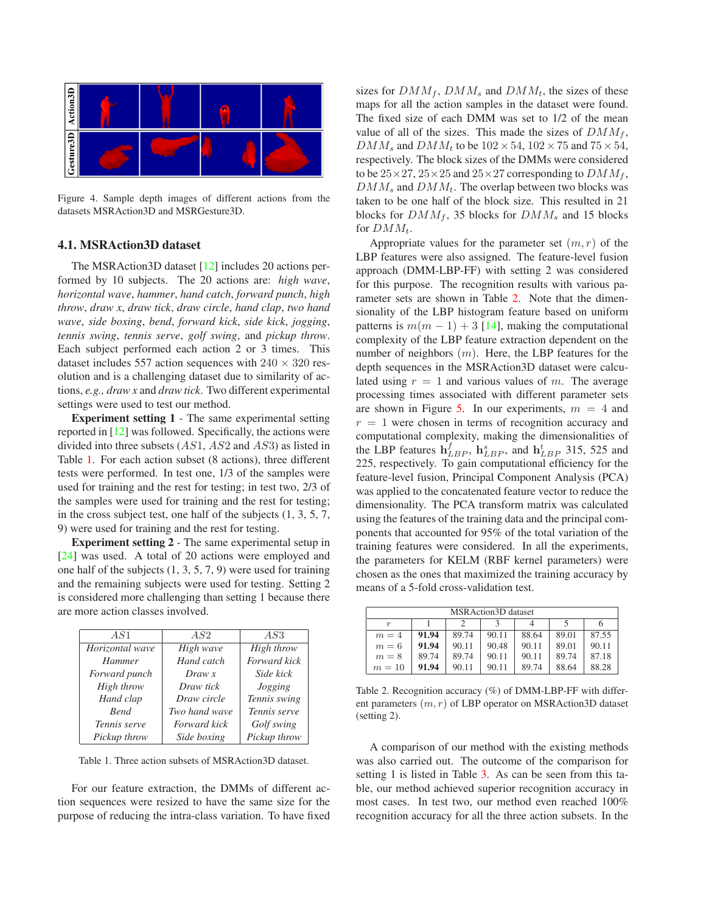<span id="page-4-3"></span>

<span id="page-4-0"></span>Figure 4. Sample depth images of different actions from the datasets MSRAction3D and MSRGesture3D.

#### **4.1. MSRAction3D dataset**

The MSRAction3D dataset [\[12\]](#page-7-5) includes 20 actions performed by 10 subjects. The 20 actions are: *high wave*, *horizontal wave*, *hammer*, *hand catch*, *forward punch*, *high throw*, *draw x*, *draw tick*, *draw circle*, *hand clap*, *two hand wave*, *side boxing*, *bend*, *forward kick*, *side kick*, *jogging*, *tennis swing*, *tennis serve*, *golf swing*, and *pickup throw*. Each subject performed each action 2 or 3 times. This dataset includes 557 action sequences with  $240 \times 320$  resolution and is a challenging dataset due to similarity of actions, *e.g., draw x* and *draw tick*. Two different experimental settings were used to test our method.

**Experiment setting 1** - The same experimental setting reported in [\[12\]](#page-7-5) was followed. Specifically, the actions were divided into three subsets (AS1, AS2 and AS3) as listed in Table [1.](#page-4-1) For each action subset (8 actions), three different tests were performed. In test one, 1/3 of the samples were used for training and the rest for testing; in test two, 2/3 of the samples were used for training and the rest for testing; in the cross subject test, one half of the subjects (1, 3, 5, 7, 9) were used for training and the rest for testing.

**Experiment setting 2** - The same experimental setup in [\[24\]](#page-7-15) was used. A total of 20 actions were employed and one half of the subjects (1, 3, 5, 7, 9) were used for training and the remaining subjects were used for testing. Setting 2 is considered more challenging than setting 1 because there are more action classes involved.

| AS1             | AS2                 | AS3          |
|-----------------|---------------------|--------------|
| Horizontal wave | High wave           | High throw   |
| <b>Hammer</b>   | Hand catch          | Forward kick |
| Forward punch   | Draw x              | Side kick    |
| High throw      | Draw tick           | Jogging      |
| Hand clap       | Draw circle         | Tennis swing |
| <b>Bend</b>     | Two hand wave       | Tennis serve |
| Tennis serve    | <b>Forward</b> kick | Golf swing   |
| Pickup throw    | Side boxing         | Pickup throw |
|                 |                     |              |

<span id="page-4-1"></span>Table 1. Three action subsets of MSRAction3D dataset.

For our feature extraction, the DMMs of different action sequences were resized to have the same size for the purpose of reducing the intra-class variation. To have fixed sizes for  $DMM_f$ ,  $DMM_s$  and  $DMM_t$ , the sizes of these maps for all the action samples in the dataset were found. The fixed size of each DMM was set to 1/2 of the mean value of all of the sizes. This made the sizes of  $DMM_f$ ,  $DMM_s$  and  $DMM_t$  to be  $102 \times 54$ ,  $102 \times 75$  and  $75 \times 54$ , respectively. The block sizes of the DMMs were considered to be  $25 \times 27$ ,  $25 \times 25$  and  $25 \times 27$  corresponding to  $DMM_f$ ,  $DMM_s$  and  $DMM_t$ . The overlap between two blocks was taken to be one half of the block size. This resulted in 21 blocks for  $DMM_f$ , 35 blocks for  $DMM_s$  and 15 blocks for  $DMM_t$ .

Appropriate values for the parameter set  $(m, r)$  of the LBP features were also assigned. The feature-level fusion approach (DMM-LBP-FF) with setting 2 was considered for this purpose. The recognition results with various parameter sets are shown in Table [2.](#page-4-2) Note that the dimensionality of the LBP histogram feature based on uniform patterns is  $m(m - 1) + 3$  [\[14\]](#page-7-11), making the computational complexity of the LBP feature extraction dependent on the number of neighbors  $(m)$ . Here, the LBP features for the depth sequences in the MSRAction3D dataset were calculated using  $r = 1$  and various values of m. The average processing times associated with different parameter sets are shown in Figure [5.](#page-5-0) In our experiments,  $m = 4$  and  $r = 1$  were chosen in terms of recognition accuracy and computational complexity, making the dimensionalities of the LBP features  $\mathbf{h}_{LBP}^f$ ,  $\mathbf{h}_{LBP}^s$ , and  $\mathbf{h}_{LBP}^t$  315, 525 and 225, respectively. To gain computational efficiency for the feature-level fusion, Principal Component Analysis (PCA) was applied to the concatenated feature vector to reduce the dimensionality. The PCA transform matrix was calculated using the features of the training data and the principal components that accounted for 95% of the total variation of the training features were considered. In all the experiments, the parameters for KELM (RBF kernel parameters) were chosen as the ones that maximized the training accuracy by means of a 5-fold cross-validation test.

| MSRAction3D dataset |       |       |       |       |       |       |  |  |  |
|---------------------|-------|-------|-------|-------|-------|-------|--|--|--|
|                     |       |       |       |       |       |       |  |  |  |
| $m=4$               | 91.94 | 89.74 | 90.11 | 88.64 | 89.01 | 87.55 |  |  |  |
| $m=6$               | 91.94 | 90.11 | 90.48 | 90.11 | 89.01 | 90.11 |  |  |  |
| $m=8$               | 89.74 | 89.74 | 90.11 | 90.11 | 89.74 | 87.18 |  |  |  |
| $m=10$              | 91.94 | 90.11 | 90.11 | 89.74 | 88.64 | 88.28 |  |  |  |

<span id="page-4-2"></span>Table 2. Recognition accuracy (%) of DMM-LBP-FF with different parameters  $(m, r)$  of LBP operator on MSRAction3D dataset (setting 2).

A comparison of our method with the existing methods was also carried out. The outcome of the comparison for setting 1 is listed in Table [3.](#page-5-1) As can be seen from this table, our method achieved superior recognition accuracy in most cases. In test two, our method even reached 100% recognition accuracy for all the three action subsets. In the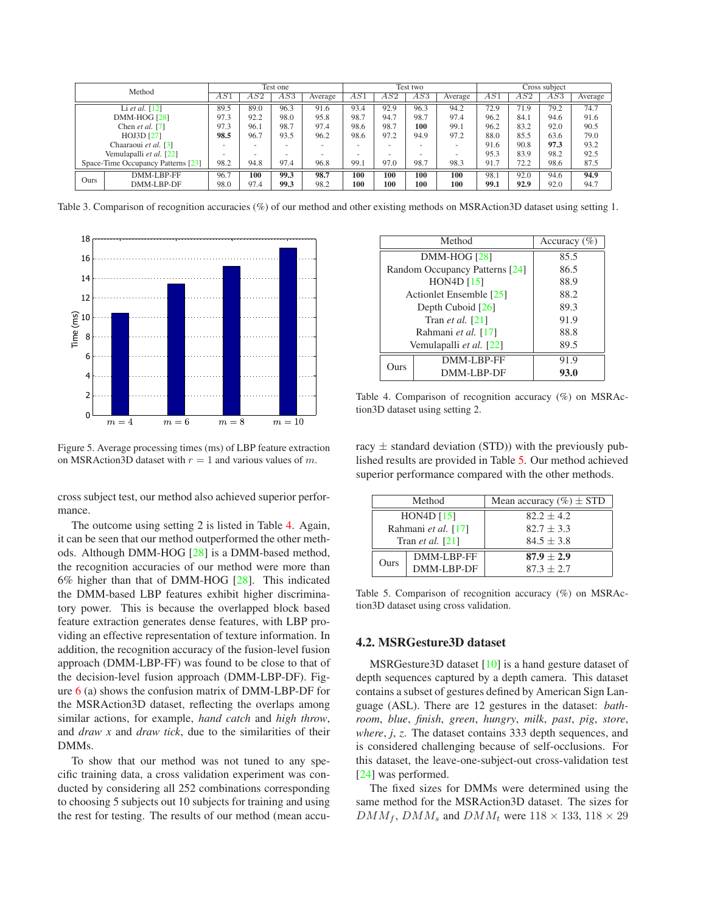<span id="page-5-4"></span>

|                                    | Method               |      | Test one |      |         | Test two |      |      | Cross subiect |      |      |      |         |
|------------------------------------|----------------------|------|----------|------|---------|----------|------|------|---------------|------|------|------|---------|
|                                    |                      | AS.  | AS2      | AS3  | Average | AS1      | AS2  | AS3  | Average       | AS1  | AS2  | AS3  | Average |
|                                    | Li et al. $[12]$     | 89.5 | 89.0     | 96.3 | 91.6    | 93.4     | 92.9 | 96.3 | 94.2          | 72.9 | 71.9 | 79.2 | 74.7    |
|                                    | <b>DMM-HOG [28]</b>  | 97.3 | 92.2     | 98.0 | 95.8    | 98.7     | 94.7 | 98.7 | 97.4          | 96.2 | 84.1 | 94.6 | 91.6    |
|                                    | Chen et al. [7]      | 97.3 | 96.1     | 98.7 | 97.4    | 98.6     | 98.7 | 100  | 99.1          | 96.2 | 83.2 | 92.0 | 90.5    |
| HOJ3D [27]                         |                      | 98.5 | 96.7     | 93.5 | 96.2    | 98.6     | 97.2 | 94.9 | 97.2          | 88.0 | 85.5 | 63.6 | 79.0    |
|                                    | Chaaraoui et al. [3] |      |          |      |         |          |      | ۰    |               | 91.6 | 90.8 | 97.3 | 93.2    |
| Vemulapalli et al. [22]            |                      |      | ۰        |      |         | -        |      | -    |               | 95.3 | 83.9 | 98.2 | 92.5    |
| Space-Time Occupancy Patterns [23] |                      | 98.2 | 94.8     | 97.4 | 96.8    | 99.1     | 97.0 | 98.7 | 98.3          | 91.7 | 72.2 | 98.6 | 87.5    |
|                                    | DMM-LBP-FF           | 96.7 | 100      | 99.3 | 98.7    | 100      | 100  | 100  | 100           | 98.1 | 92.0 | 94.6 | 94.9    |
| Ours                               | DMM-LBP-DF           | 98.0 | 97.4     | 99.3 | 98.2    | 100      | 100  | 100  | 100           | 99.1 | 92.9 | 92.0 | 94.7    |

<span id="page-5-1"></span>Table 3. Comparison of recognition accuracies (%) of our method and other existing methods on MSRAction3D dataset using setting 1.



<span id="page-5-0"></span>Figure 5. Average processing times (ms) of LBP feature extraction on MSRAction3D dataset with  $r = 1$  and various values of m.

cross subject test, our method also achieved superior performance.

The outcome using setting 2 is listed in Table [4.](#page-5-2) Again, it can be seen that our method outperformed the other methods. Although DMM-HOG [\[28\]](#page-7-6) is a DMM-based method, the recognition accuracies of our method were more than 6% higher than that of DMM-HOG [\[28\]](#page-7-6). This indicated the DMM-based LBP features exhibit higher discriminatory power. This is because the overlapped block based feature extraction generates dense features, with LBP providing an effective representation of texture information. In addition, the recognition accuracy of the fusion-level fusion approach (DMM-LBP-FF) was found to be close to that of the decision-level fusion approach (DMM-LBP-DF). Figure  $6$  (a) shows the confusion matrix of DMM-LBP-DF for the MSRAction3D dataset, reflecting the overlaps among similar actions, for example, *hand catch* and *high throw*, and *draw x* and *draw tick*, due to the similarities of their DMMs.

To show that our method was not tuned to any specific training data, a cross validation experiment was conducted by considering all 252 combinations corresponding to choosing 5 subjects out 10 subjects for training and using the rest for testing. The results of our method (mean accu-

|      | Method                         | Accuracy $(\% )$ |
|------|--------------------------------|------------------|
|      | $DMM-HOG [28]$                 | 85.5             |
|      | Random Occupancy Patterns [24] | 86.5             |
|      | HON <sub>4</sub> D $[15]$      | 88.9             |
|      | Actionlet Ensemble [25]        | 88.2             |
|      | Depth Cuboid $[26]$            | 89.3             |
|      | Tran <i>et al.</i> $[21]$      | 91.9             |
|      | Rahmani et al. [17]            | 88.8             |
|      | Vemulapalli et al. [22]        | 89.5             |
| Ours | DMM-LBP-FF                     | 91.9             |
|      | DMM-LBP-DF                     | 93.0             |

<span id="page-5-2"></span>Table 4. Comparison of recognition accuracy (%) on MSRAction3D dataset using setting 2.

racy  $\pm$  standard deviation (STD)) with the previously published results are provided in Table [5.](#page-5-3) Our method achieved superior performance compared with the other methods.

| Method                    |            | Mean accuracy $(\% ) \pm$ STD |
|---------------------------|------------|-------------------------------|
| HON <sub>4</sub> D $[15]$ |            | $82.2 + 4.2$                  |
| Rahmani et al. [17]       |            | $82.7 + 3.3$                  |
| Tran <i>et al.</i> $[21]$ |            | $84.5 + 3.8$                  |
| Ours                      | DMM-LBP-FF | $87.9 \pm 2.9$                |
|                           | DMM-LBP-DF | $87.3 + 2.7$                  |

<span id="page-5-3"></span>Table 5. Comparison of recognition accuracy (%) on MSRAction3D dataset using cross validation.

## **4.2. MSRGesture3D dataset**

MSRGesture3D dataset [\[10\]](#page-7-24) is a hand gesture dataset of depth sequences captured by a depth camera. This dataset contains a subset of gestures defined by American Sign Language (ASL). There are 12 gestures in the dataset: *bathroom*, *blue*, *finish*, *green*, *hungry*, *milk*, *past*, *pig*, *store*, *where*, *j*, *z*. The dataset contains 333 depth sequences, and is considered challenging because of self-occlusions. For this dataset, the leave-one-subject-out cross-validation test [\[24\]](#page-7-15) was performed.

The fixed sizes for DMMs were determined using the same method for the MSRAction3D dataset. The sizes for  $DMM_f$ ,  $DMM_s$  and  $DMM_t$  were  $118 \times 133$ ,  $118 \times 29$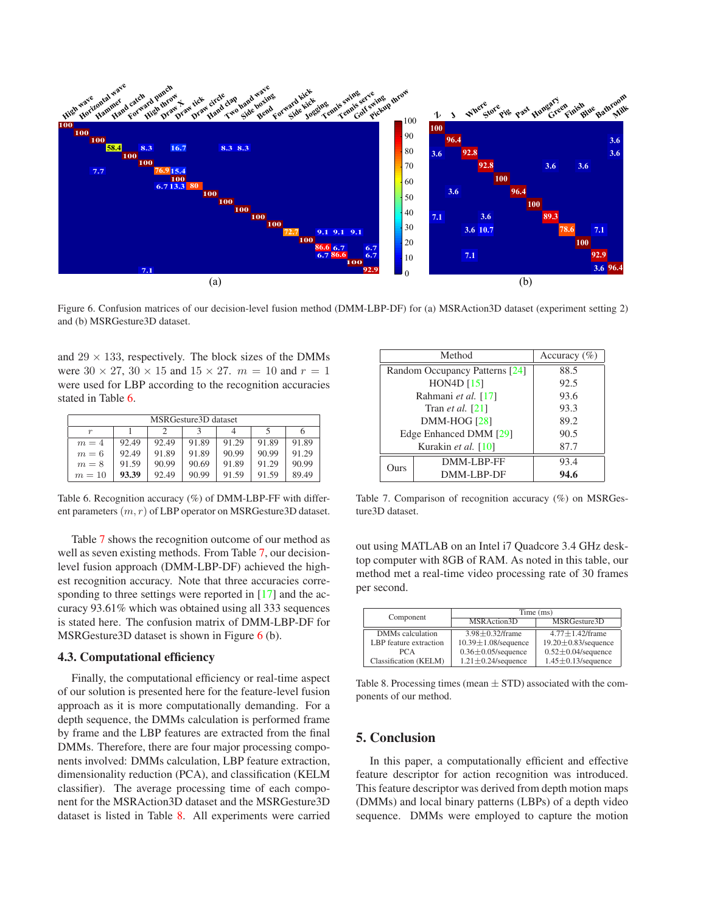<span id="page-6-5"></span>

<span id="page-6-1"></span>Figure 6. Confusion matrices of our decision-level fusion method (DMM-LBP-DF) for (a) MSRAction3D dataset (experiment setting 2) and (b) MSRGesture3D dataset.

and  $29 \times 133$ , respectively. The block sizes of the DMMs were  $30 \times 27$ ,  $30 \times 15$  and  $15 \times 27$ .  $m = 10$  and  $r = 1$ were used for LBP according to the recognition accuracies stated in Table [6.](#page-6-2)

| MSRGesture3D dataset |       |       |       |       |       |       |  |  |
|----------------------|-------|-------|-------|-------|-------|-------|--|--|
| $\boldsymbol{r}$     |       |       |       |       |       |       |  |  |
| $m=4$                | 92.49 | 92.49 | 91.89 | 91.29 | 91.89 | 91.89 |  |  |
| $m=6$                | 92.49 | 91.89 | 91.89 | 90.99 | 90.99 | 91.29 |  |  |
| $m=8$                | 91.59 | 90.99 | 90.69 | 91.89 | 91.29 | 90.99 |  |  |
| $m = 10$             | 93.39 | 92.49 | 90.99 | 91.59 | 91.59 | 89.49 |  |  |

<span id="page-6-2"></span>Table 6. Recognition accuracy (%) of DMM-LBP-FF with different parameters  $(m, r)$  of LBP operator on MSRGesture3D dataset.

Table [7](#page-6-3) shows the recognition outcome of our method as well as seven existing methods. From Table [7,](#page-6-3) our decisionlevel fusion approach (DMM-LBP-DF) achieved the highest recognition accuracy. Note that three accuracies corresponding to three settings were reported in [\[17\]](#page-7-27) and the accuracy 93.61% which was obtained using all 333 sequences is stated here. The confusion matrix of DMM-LBP-DF for MSRGesture3D dataset is shown in Figure [6](#page-6-1) (b).

#### **4.3. Computational efficiency**

Finally, the computational efficiency or real-time aspect of our solution is presented here for the feature-level fusion approach as it is more computationally demanding. For a depth sequence, the DMMs calculation is performed frame by frame and the LBP features are extracted from the final DMMs. Therefore, there are four major processing components involved: DMMs calculation, LBP feature extraction, dimensionality reduction (PCA), and classification (KELM classifier). The average processing time of each component for the MSRAction3D dataset and the MSRGesture3D dataset is listed in Table [8.](#page-6-4) All experiments were carried

|                     | Method                         | Accuracy $(\% )$ |
|---------------------|--------------------------------|------------------|
|                     | Random Occupancy Patterns [24] | 88.5             |
|                     | HON <sub>4</sub> D $[15]$      | 92.5             |
|                     | Rahmani et al. [17]            | 93.6             |
|                     | Tran <i>et al.</i> $[21]$      | 93.3             |
|                     | <b>DMM-HOG [28]</b>            | 89.2             |
|                     | Edge Enhanced DMM [29]         | 90.5             |
| Kurakin et al. [10] |                                | 87.7             |
| Ours                | DMM-LBP-FF                     | 93.4             |
|                     | DMM-LBP-DF                     | 94.6             |

<span id="page-6-3"></span>Table 7. Comparison of recognition accuracy (%) on MSRGesture3D dataset.

out using MATLAB on an Intel i7 Quadcore 3.4 GHz desktop computer with 8GB of RAM. As noted in this table, our method met a real-time video processing rate of 30 frames per second.

| Component              | Time (ms)                  |                            |  |  |  |
|------------------------|----------------------------|----------------------------|--|--|--|
|                        | MSRAction3D                | MSRGesture3D               |  |  |  |
| DMMs calculation       | $3.98 \pm 0.32$ /frame     | $4.77 \pm 1.42$ /frame     |  |  |  |
| LBP feature extraction | $10.39 \pm 1.08$ /sequence | $19.20 \pm 0.83$ /sequence |  |  |  |
| <b>PCA</b>             | $0.36 \pm 0.05$ /sequence  | $0.52 \pm 0.04$ /sequence  |  |  |  |
| Classification (KELM)  | $1.21 \pm 0.24$ /sequence  | $1.45 \pm 0.13$ /sequence  |  |  |  |

<span id="page-6-4"></span>Table 8. Processing times (mean  $\pm$  STD) associated with the components of our method.

# <span id="page-6-0"></span>**5. Conclusion**

In this paper, a computationally efficient and effective feature descriptor for action recognition was introduced. This feature descriptor was derived from depth motion maps (DMMs) and local binary patterns (LBPs) of a depth video sequence. DMMs were employed to capture the motion